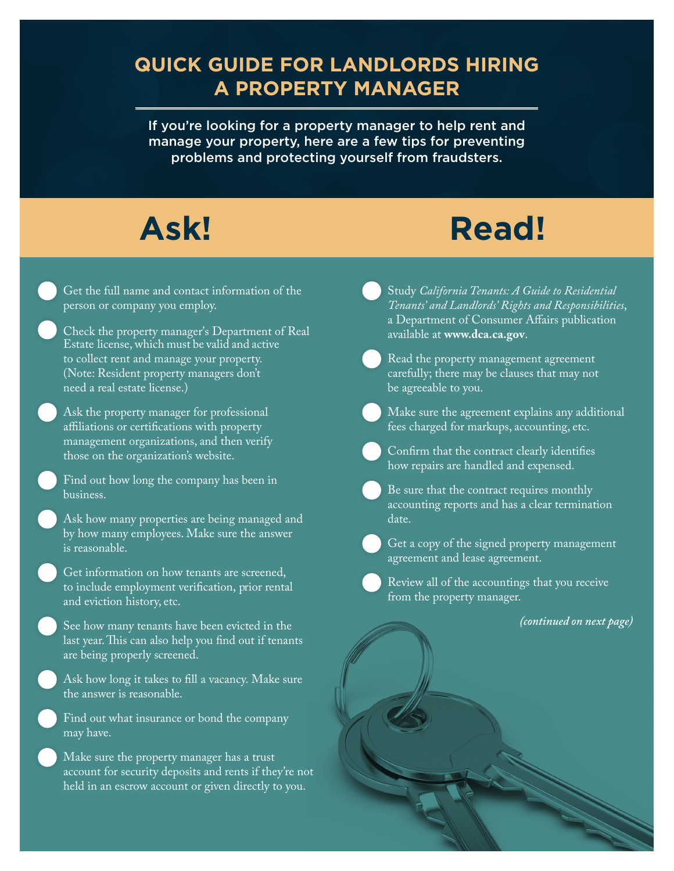#### **QUICK GUIDE FOR LANDLORDS HIRING A PROPERTY MANAGER**

If you're looking for a property manager to help rent and manage your property, here are a few tips for preventing problems and protecting yourself from fraudsters.

# **Ask! Read!**

- Get the full name and contact information of the person or company you employ.
- Check the property manager's Department of Real Estate license, which must be valid and active to collect rent and manage your property. (Note: Resident property managers don't need a real estate license.)
- Ask the property manager for professional afliations or certifcations with property management organizations, and then verify those on the organization's website.
	- Find out how long the company has been in business.
	- Ask how many properties are being managed and by how many employees. Make sure the answer is reasonable.
	- Get information on how tenants are screened, to include employment verifcation, prior rental and eviction history, etc.
	- See how many tenants have been evicted in the last year. This can also help you find out if tenants are being properly screened.
	- Ask how long it takes to fll a vacancy. Make sure the answer is reasonable.
	- Find out what insurance or bond the company may have.
	- Make sure the property manager has a trust account for security deposits and rents if they're not held in an escrow account or given directly to you.
- Study *California Tenants: A Guide to Residential Tenants' and Landlords' Rights and Responsibilities*, a Department of Consumer Afairs publication available at **<www.dca.ca.gov>**.
- Read the property management agreement carefully; there may be clauses that may not be agreeable to you.
- Make sure the agreement explains any additional fees charged for markups, accounting, etc.
- Confrm that the contract clearly identifes how repairs are handled and expensed.
- Be sure that the contract requires monthly
- accounting reports and has a clear termination date.
- Get a copy of the signed property management agreement and lease agreement.
	- Review all of the accountings that you receive from the property manager.

*(continued on next page)*